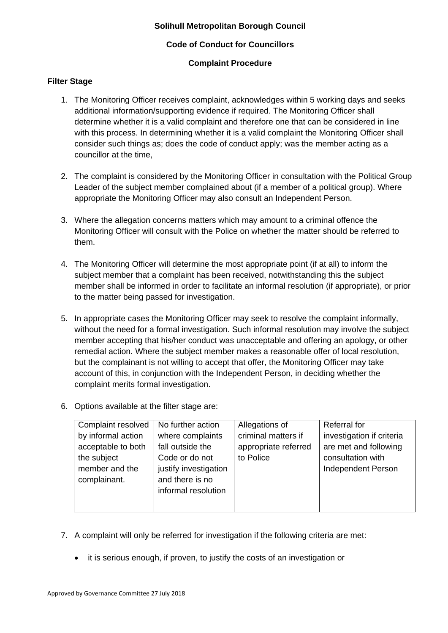## **Solihull Metropolitan Borough Council**

# **Code of Conduct for Councillors**

# **Complaint Procedure**

## **Filter Stage**

- 1. The Monitoring Officer receives complaint, acknowledges within 5 working days and seeks additional information/supporting evidence if required. The Monitoring Officer shall determine whether it is a valid complaint and therefore one that can be considered in line with this process. In determining whether it is a valid complaint the Monitoring Officer shall consider such things as; does the code of conduct apply; was the member acting as a councillor at the time,
- 2. The complaint is considered by the Monitoring Officer in consultation with the Political Group Leader of the subject member complained about (if a member of a political group). Where appropriate the Monitoring Officer may also consult an Independent Person.
- 3. Where the allegation concerns matters which may amount to a criminal offence the Monitoring Officer will consult with the Police on whether the matter should be referred to them.
- 4. The Monitoring Officer will determine the most appropriate point (if at all) to inform the subject member that a complaint has been received, notwithstanding this the subject member shall be informed in order to facilitate an informal resolution (if appropriate), or prior to the matter being passed for investigation.
- 5. In appropriate cases the Monitoring Officer may seek to resolve the complaint informally, without the need for a formal investigation. Such informal resolution may involve the subject member accepting that his/her conduct was unacceptable and offering an apology, or other remedial action. Where the subject member makes a reasonable offer of local resolution, but the complainant is not willing to accept that offer, the Monitoring Officer may take account of this, in conjunction with the Independent Person, in deciding whether the complaint merits formal investigation.
- 6. Options available at the filter stage are:

| Complaint resolved | No further action     | Allegations of       | Referral for              |
|--------------------|-----------------------|----------------------|---------------------------|
| by informal action | where complaints      | criminal matters if  | investigation if criteria |
| acceptable to both | fall outside the      | appropriate referred | are met and following     |
| the subject        | Code or do not        | to Police            | consultation with         |
| member and the     | justify investigation |                      | <b>Independent Person</b> |
| complainant.       | and there is no       |                      |                           |
|                    | informal resolution   |                      |                           |
|                    |                       |                      |                           |
|                    |                       |                      |                           |

- 7. A complaint will only be referred for investigation if the following criteria are met:
	- it is serious enough, if proven, to justify the costs of an investigation or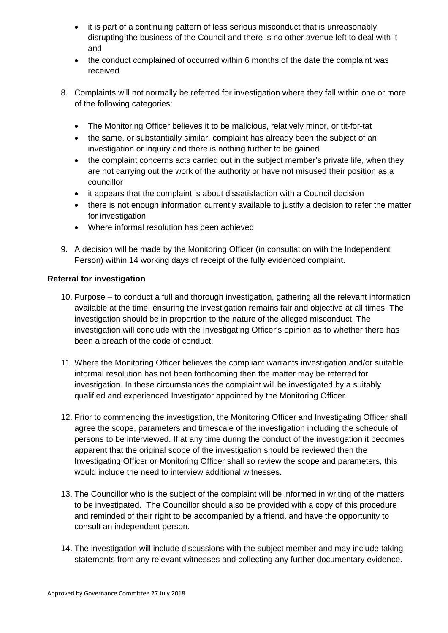- it is part of a continuing pattern of less serious misconduct that is unreasonably disrupting the business of the Council and there is no other avenue left to deal with it and
- the conduct complained of occurred within 6 months of the date the complaint was received
- 8. Complaints will not normally be referred for investigation where they fall within one or more of the following categories:
	- The Monitoring Officer believes it to be malicious, relatively minor, or tit-for-tat
	- the same, or substantially similar, complaint has already been the subject of an investigation or inquiry and there is nothing further to be gained
	- the complaint concerns acts carried out in the subject member's private life, when they are not carrying out the work of the authority or have not misused their position as a councillor
	- it appears that the complaint is about dissatisfaction with a Council decision
	- there is not enough information currently available to justify a decision to refer the matter for investigation
	- Where informal resolution has been achieved
- 9. A decision will be made by the Monitoring Officer (in consultation with the Independent Person) within 14 working days of receipt of the fully evidenced complaint.

# **Referral for investigation**

- 10. Purpose to conduct a full and thorough investigation, gathering all the relevant information available at the time, ensuring the investigation remains fair and objective at all times. The investigation should be in proportion to the nature of the alleged misconduct. The investigation will conclude with the Investigating Officer's opinion as to whether there has been a breach of the code of conduct.
- 11. Where the Monitoring Officer believes the compliant warrants investigation and/or suitable informal resolution has not been forthcoming then the matter may be referred for investigation. In these circumstances the complaint will be investigated by a suitably qualified and experienced Investigator appointed by the Monitoring Officer.
- 12. Prior to commencing the investigation, the Monitoring Officer and Investigating Officer shall agree the scope, parameters and timescale of the investigation including the schedule of persons to be interviewed. If at any time during the conduct of the investigation it becomes apparent that the original scope of the investigation should be reviewed then the Investigating Officer or Monitoring Officer shall so review the scope and parameters, this would include the need to interview additional witnesses.
- 13. The Councillor who is the subject of the complaint will be informed in writing of the matters to be investigated. The Councillor should also be provided with a copy of this procedure and reminded of their right to be accompanied by a friend, and have the opportunity to consult an independent person.
- 14. The investigation will include discussions with the subject member and may include taking statements from any relevant witnesses and collecting any further documentary evidence.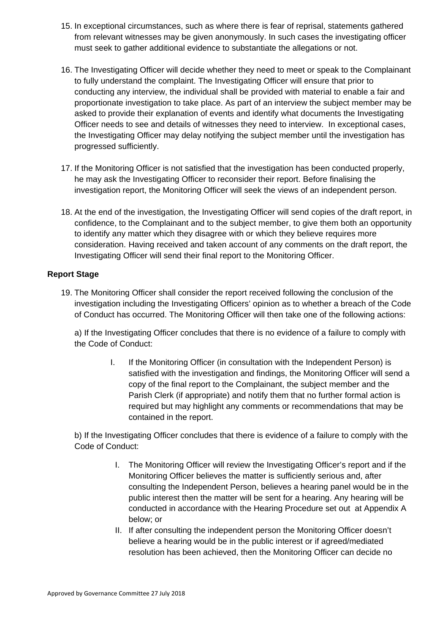- 15. In exceptional circumstances, such as where there is fear of reprisal, statements gathered from relevant witnesses may be given anonymously. In such cases the investigating officer must seek to gather additional evidence to substantiate the allegations or not.
- 16. The Investigating Officer will decide whether they need to meet or speak to the Complainant to fully understand the complaint. The Investigating Officer will ensure that prior to conducting any interview, the individual shall be provided with material to enable a fair and proportionate investigation to take place. As part of an interview the subject member may be asked to provide their explanation of events and identify what documents the Investigating Officer needs to see and details of witnesses they need to interview. In exceptional cases, the Investigating Officer may delay notifying the subject member until the investigation has progressed sufficiently.
- 17. If the Monitoring Officer is not satisfied that the investigation has been conducted properly, he may ask the Investigating Officer to reconsider their report. Before finalising the investigation report, the Monitoring Officer will seek the views of an independent person.
- 18. At the end of the investigation, the Investigating Officer will send copies of the draft report, in confidence, to the Complainant and to the subject member, to give them both an opportunity to identify any matter which they disagree with or which they believe requires more consideration. Having received and taken account of any comments on the draft report, the Investigating Officer will send their final report to the Monitoring Officer.

# **Report Stage**

19. The Monitoring Officer shall consider the report received following the conclusion of the investigation including the Investigating Officers' opinion as to whether a breach of the Code of Conduct has occurred. The Monitoring Officer will then take one of the following actions:

a) If the Investigating Officer concludes that there is no evidence of a failure to comply with the Code of Conduct:

> I. If the Monitoring Officer (in consultation with the Independent Person) is satisfied with the investigation and findings, the Monitoring Officer will send a copy of the final report to the Complainant, the subject member and the Parish Clerk (if appropriate) and notify them that no further formal action is required but may highlight any comments or recommendations that may be contained in the report.

b) If the Investigating Officer concludes that there is evidence of a failure to comply with the Code of Conduct:

- I. The Monitoring Officer will review the Investigating Officer's report and if the Monitoring Officer believes the matter is sufficiently serious and, after consulting the Independent Person, believes a hearing panel would be in the public interest then the matter will be sent for a hearing. Any hearing will be conducted in accordance with the Hearing Procedure set out at Appendix A below; or
- II. If after consulting the independent person the Monitoring Officer doesn't believe a hearing would be in the public interest or if agreed/mediated resolution has been achieved, then the Monitoring Officer can decide no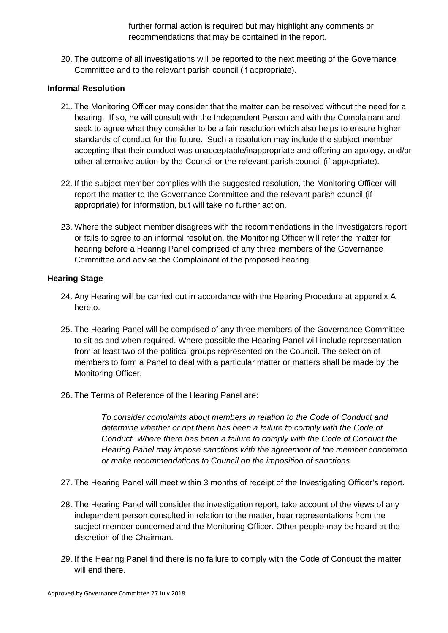further formal action is required but may highlight any comments or recommendations that may be contained in the report.

20. The outcome of all investigations will be reported to the next meeting of the Governance Committee and to the relevant parish council (if appropriate).

### **Informal Resolution**

- 21. The Monitoring Officer may consider that the matter can be resolved without the need for a hearing. If so, he will consult with the Independent Person and with the Complainant and seek to agree what they consider to be a fair resolution which also helps to ensure higher standards of conduct for the future. Such a resolution may include the subject member accepting that their conduct was unacceptable/inappropriate and offering an apology, and/or other alternative action by the Council or the relevant parish council (if appropriate).
- 22. If the subject member complies with the suggested resolution, the Monitoring Officer will report the matter to the Governance Committee and the relevant parish council (if appropriate) for information, but will take no further action.
- 23. Where the subject member disagrees with the recommendations in the Investigators report or fails to agree to an informal resolution, the Monitoring Officer will refer the matter for hearing before a Hearing Panel comprised of any three members of the Governance Committee and advise the Complainant of the proposed hearing.

#### **Hearing Stage**

- 24. Any Hearing will be carried out in accordance with the Hearing Procedure at appendix A hereto.
- 25. The Hearing Panel will be comprised of any three members of the Governance Committee to sit as and when required. Where possible the Hearing Panel will include representation from at least two of the political groups represented on the Council. The selection of members to form a Panel to deal with a particular matter or matters shall be made by the Monitoring Officer.
- 26. The Terms of Reference of the Hearing Panel are:

*To consider complaints about members in relation to the Code of Conduct and determine whether or not there has been a failure to comply with the Code of Conduct. Where there has been a failure to comply with the Code of Conduct the Hearing Panel may impose sanctions with the agreement of the member concerned or make recommendations to Council on the imposition of sanctions.* 

- 27. The Hearing Panel will meet within 3 months of receipt of the Investigating Officer's report.
- 28. The Hearing Panel will consider the investigation report, take account of the views of any independent person consulted in relation to the matter, hear representations from the subject member concerned and the Monitoring Officer. Other people may be heard at the discretion of the Chairman.
- 29. If the Hearing Panel find there is no failure to comply with the Code of Conduct the matter will end there.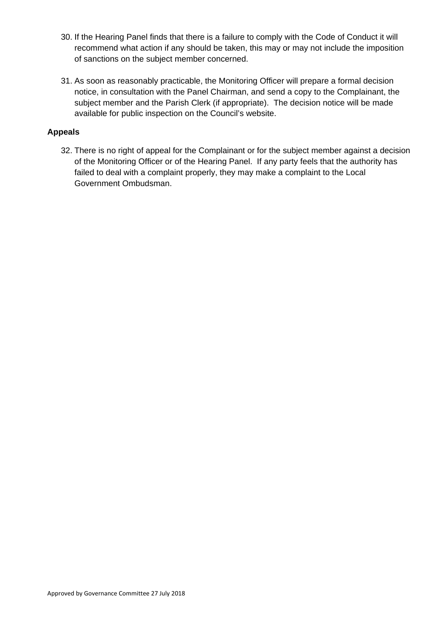- 30. If the Hearing Panel finds that there is a failure to comply with the Code of Conduct it will recommend what action if any should be taken, this may or may not include the imposition of sanctions on the subject member concerned.
- 31. As soon as reasonably practicable, the Monitoring Officer will prepare a formal decision notice, in consultation with the Panel Chairman, and send a copy to the Complainant, the subject member and the Parish Clerk (if appropriate). The decision notice will be made available for public inspection on the Council's website.

## **Appeals**

32. There is no right of appeal for the Complainant or for the subject member against a decision of the Monitoring Officer or of the Hearing Panel. If any party feels that the authority has failed to deal with a complaint properly, they may make a complaint to the Local Government Ombudsman.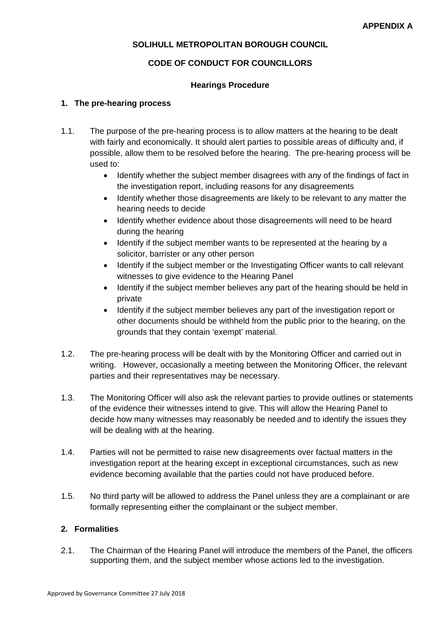## **SOLIHULL METROPOLITAN BOROUGH COUNCIL**

### **CODE OF CONDUCT FOR COUNCILLORS**

#### **Hearings Procedure**

### **1. The pre-hearing process**

- 1.1. The purpose of the pre-hearing process is to allow matters at the hearing to be dealt with fairly and economically. It should alert parties to possible areas of difficulty and, if possible, allow them to be resolved before the hearing. The pre-hearing process will be used to:
	- Identify whether the subject member disagrees with any of the findings of fact in the investigation report, including reasons for any disagreements
	- Identify whether those disagreements are likely to be relevant to any matter the hearing needs to decide
	- Identify whether evidence about those disagreements will need to be heard during the hearing
	- Identify if the subject member wants to be represented at the hearing by a solicitor, barrister or any other person
	- Identify if the subject member or the Investigating Officer wants to call relevant witnesses to give evidence to the Hearing Panel
	- Identify if the subject member believes any part of the hearing should be held in private
	- Identify if the subject member believes any part of the investigation report or other documents should be withheld from the public prior to the hearing, on the grounds that they contain 'exempt' material.
- 1.2. The pre-hearing process will be dealt with by the Monitoring Officer and carried out in writing. However, occasionally a meeting between the Monitoring Officer, the relevant parties and their representatives may be necessary.
- 1.3. The Monitoring Officer will also ask the relevant parties to provide outlines or statements of the evidence their witnesses intend to give. This will allow the Hearing Panel to decide how many witnesses may reasonably be needed and to identify the issues they will be dealing with at the hearing.
- 1.4. Parties will not be permitted to raise new disagreements over factual matters in the investigation report at the hearing except in exceptional circumstances, such as new evidence becoming available that the parties could not have produced before.
- 1.5. No third party will be allowed to address the Panel unless they are a complainant or are formally representing either the complainant or the subject member.

## **2. Formalities**

2.1. The Chairman of the Hearing Panel will introduce the members of the Panel, the officers supporting them, and the subject member whose actions led to the investigation.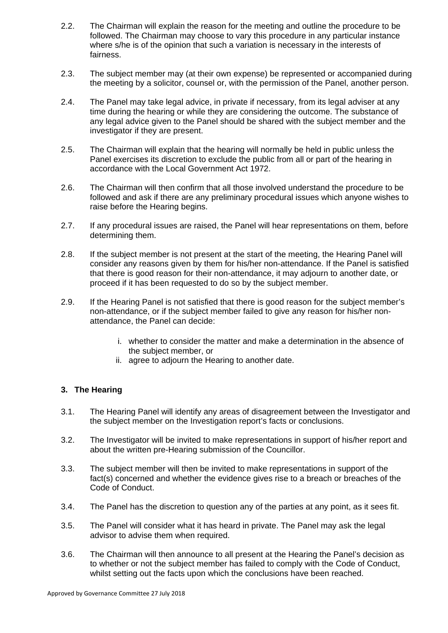- 2.2. The Chairman will explain the reason for the meeting and outline the procedure to be followed. The Chairman may choose to vary this procedure in any particular instance where s/he is of the opinion that such a variation is necessary in the interests of fairness.
- 2.3. The subject member may (at their own expense) be represented or accompanied during the meeting by a solicitor, counsel or, with the permission of the Panel, another person.
- 2.4. The Panel may take legal advice, in private if necessary, from its legal adviser at any time during the hearing or while they are considering the outcome. The substance of any legal advice given to the Panel should be shared with the subject member and the investigator if they are present.
- 2.5. The Chairman will explain that the hearing will normally be held in public unless the Panel exercises its discretion to exclude the public from all or part of the hearing in accordance with the Local Government Act 1972.
- 2.6. The Chairman will then confirm that all those involved understand the procedure to be followed and ask if there are any preliminary procedural issues which anyone wishes to raise before the Hearing begins.
- 2.7. If any procedural issues are raised, the Panel will hear representations on them, before determining them.
- 2.8. If the subject member is not present at the start of the meeting, the Hearing Panel will consider any reasons given by them for his/her non-attendance. If the Panel is satisfied that there is good reason for their non-attendance, it may adjourn to another date, or proceed if it has been requested to do so by the subject member.
- 2.9. If the Hearing Panel is not satisfied that there is good reason for the subject member's non-attendance, or if the subject member failed to give any reason for his/her nonattendance, the Panel can decide:
	- i. whether to consider the matter and make a determination in the absence of the subject member, or
	- ii. agree to adjourn the Hearing to another date.

# **3. The Hearing**

- 3.1. The Hearing Panel will identify any areas of disagreement between the Investigator and the subject member on the Investigation report's facts or conclusions.
- 3.2. The Investigator will be invited to make representations in support of his/her report and about the written pre-Hearing submission of the Councillor.
- 3.3. The subject member will then be invited to make representations in support of the fact(s) concerned and whether the evidence gives rise to a breach or breaches of the Code of Conduct.
- 3.4. The Panel has the discretion to question any of the parties at any point, as it sees fit.
- 3.5. The Panel will consider what it has heard in private. The Panel may ask the legal advisor to advise them when required.
- 3.6. The Chairman will then announce to all present at the Hearing the Panel's decision as to whether or not the subject member has failed to comply with the Code of Conduct, whilst setting out the facts upon which the conclusions have been reached.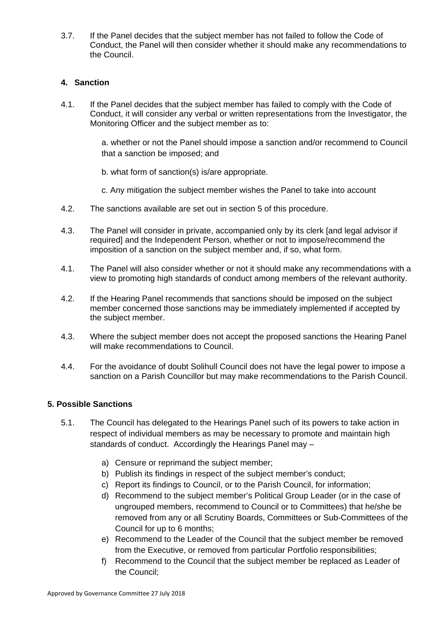3.7. If the Panel decides that the subject member has not failed to follow the Code of Conduct, the Panel will then consider whether it should make any recommendations to the Council.

## **4. Sanction**

4.1. If the Panel decides that the subject member has failed to comply with the Code of Conduct, it will consider any verbal or written representations from the Investigator, the Monitoring Officer and the subject member as to:

> a. whether or not the Panel should impose a sanction and/or recommend to Council that a sanction be imposed; and

- b. what form of sanction(s) is/are appropriate.
- c. Any mitigation the subject member wishes the Panel to take into account
- 4.2. The sanctions available are set out in section 5 of this procedure.
- 4.3. The Panel will consider in private, accompanied only by its clerk [and legal advisor if required] and the Independent Person, whether or not to impose/recommend the imposition of a sanction on the subject member and, if so, what form.
- 4.1. The Panel will also consider whether or not it should make any recommendations with a view to promoting high standards of conduct among members of the relevant authority.
- 4.2. If the Hearing Panel recommends that sanctions should be imposed on the subject member concerned those sanctions may be immediately implemented if accepted by the subject member.
- 4.3. Where the subject member does not accept the proposed sanctions the Hearing Panel will make recommendations to Council.
- 4.4. For the avoidance of doubt Solihull Council does not have the legal power to impose a sanction on a Parish Councillor but may make recommendations to the Parish Council.

### **5. Possible Sanctions**

- 5.1. The Council has delegated to the Hearings Panel such of its powers to take action in respect of individual members as may be necessary to promote and maintain high standards of conduct. Accordingly the Hearings Panel may –
	- a) Censure or reprimand the subject member;
	- b) Publish its findings in respect of the subject member's conduct;
	- c) Report its findings to Council, or to the Parish Council, for information;
	- d) Recommend to the subject member's Political Group Leader (or in the case of ungrouped members, recommend to Council or to Committees) that he/she be removed from any or all Scrutiny Boards, Committees or Sub-Committees of the Council for up to 6 months;
	- e) Recommend to the Leader of the Council that the subject member be removed from the Executive, or removed from particular Portfolio responsibilities;
	- f) Recommend to the Council that the subject member be replaced as Leader of the Council;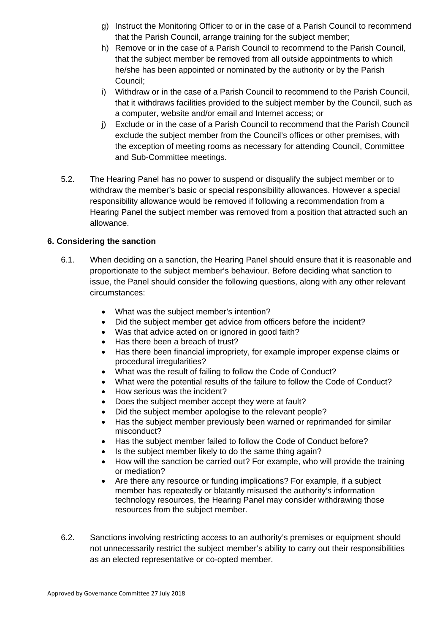- g) Instruct the Monitoring Officer to or in the case of a Parish Council to recommend that the Parish Council, arrange training for the subject member;
- h) Remove or in the case of a Parish Council to recommend to the Parish Council, that the subject member be removed from all outside appointments to which he/she has been appointed or nominated by the authority or by the Parish Council;
- i) Withdraw or in the case of a Parish Council to recommend to the Parish Council, that it withdraws facilities provided to the subject member by the Council, such as a computer, website and/or email and Internet access; or
- j) Exclude or in the case of a Parish Council to recommend that the Parish Council exclude the subject member from the Council's offices or other premises, with the exception of meeting rooms as necessary for attending Council, Committee and Sub-Committee meetings.
- 5.2. The Hearing Panel has no power to suspend or disqualify the subject member or to withdraw the member's basic or special responsibility allowances. However a special responsibility allowance would be removed if following a recommendation from a Hearing Panel the subject member was removed from a position that attracted such an allowance.

## **6. Considering the sanction**

- 6.1. When deciding on a sanction, the Hearing Panel should ensure that it is reasonable and proportionate to the subject member's behaviour. Before deciding what sanction to issue, the Panel should consider the following questions, along with any other relevant circumstances:
	- What was the subject member's intention?
	- Did the subject member get advice from officers before the incident?
	- Was that advice acted on or ignored in good faith?
	- Has there been a breach of trust?
	- Has there been financial impropriety, for example improper expense claims or procedural irregularities?
	- What was the result of failing to follow the Code of Conduct?
	- What were the potential results of the failure to follow the Code of Conduct?
	- How serious was the incident?
	- Does the subject member accept they were at fault?
	- Did the subject member apologise to the relevant people?
	- Has the subject member previously been warned or reprimanded for similar misconduct?
	- Has the subject member failed to follow the Code of Conduct before?
	- Is the subject member likely to do the same thing again?
	- How will the sanction be carried out? For example, who will provide the training or mediation?
	- Are there any resource or funding implications? For example, if a subject member has repeatedly or blatantly misused the authority's information technology resources, the Hearing Panel may consider withdrawing those resources from the subject member.
- 6.2. Sanctions involving restricting access to an authority's premises or equipment should not unnecessarily restrict the subject member's ability to carry out their responsibilities as an elected representative or co-opted member.